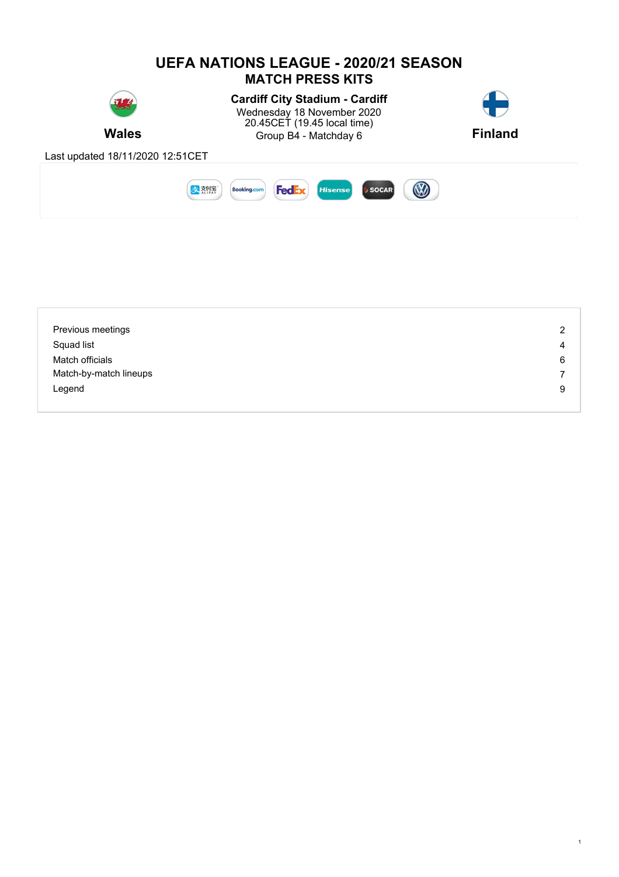

| Previous meetings      | 2 |
|------------------------|---|
| Squad list             | 4 |
| Match officials        | 6 |
| Match-by-match lineups | 7 |
| Legend                 | 9 |
|                        |   |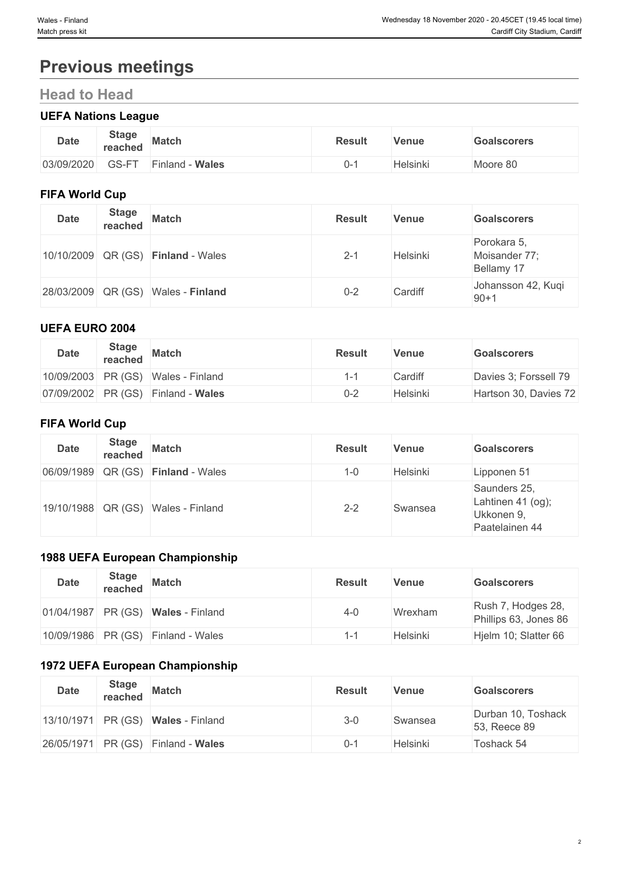# **Previous meetings**

# **Head to Head**

## **UEFA Nations League**

| <b>Date</b> | <b>Stage</b><br>reached | <b>Match</b>       | <b>Result</b> | Venue    | <b>Goalscorers</b> |
|-------------|-------------------------|--------------------|---------------|----------|--------------------|
| 03/09/2020  | GS-FT                   | - Wales<br>Finland |               | Helsinki | Moore 80           |

### **FIFA World Cup**

| <b>Date</b> | <b>Stage</b> | reached Match                      | <b>Result</b> | <b>Venue</b> | <b>Goalscorers</b>                         |
|-------------|--------------|------------------------------------|---------------|--------------|--------------------------------------------|
|             |              | 10/10/2009 QR (GS) Finland - Wales | $2 - 1$       | Helsinki     | Porokara 5,<br>Moisander 77;<br>Bellamy 17 |
|             |              | 28/03/2009 QR (GS) Wales - Finland | $0 - 2$       | Cardiff      | Johansson 42, Kuqi<br>$90 + 1$             |

### **UEFA EURO 2004**

| <b>Date</b> | <b>Stage</b><br>reached | Match                              | <b>Result</b> | Venue    | <b>Goalscorers</b>    |
|-------------|-------------------------|------------------------------------|---------------|----------|-----------------------|
|             |                         | 10/09/2003 PR (GS) Wales - Finland | ہ_،           | Cardiff  | Davies 3; Forssell 79 |
|             |                         | 07/09/2002 PR (GS) Finland - Wales | $0 - 2$       | Helsinki | Hartson 30, Davies 72 |

## **FIFA World Cup**

| <b>Date</b> | <b>Stage</b> | reached Match                      | <b>Result</b> | <b>Venue</b> | <b>Goalscorers</b>                                                   |
|-------------|--------------|------------------------------------|---------------|--------------|----------------------------------------------------------------------|
|             |              | 06/09/1989 QR (GS) Finland - Wales | $1 - 0$       | Helsinki     | Lipponen 51                                                          |
|             |              | 19/10/1988 QR (GS) Wales - Finland | $2 - 2$       | Swansea      | Saunders 25,<br>Lahtinen 41 $(og)$ ;<br>Ukkonen 9,<br>Paatelainen 44 |

## **1988 UEFA European Championship**

| <b>Date</b> | <b>Stage</b><br>reached | <b>Match</b>                         | <b>Result</b> | Venue    | <b>Goalscorers</b>                          |
|-------------|-------------------------|--------------------------------------|---------------|----------|---------------------------------------------|
|             |                         | $01/04/1987$ PR (GS) Wales - Finland | $4 - 0$       | Wrexham  | Rush 7, Hodges 28,<br>Phillips 63, Jones 86 |
|             |                         | 10/09/1986 PR (GS) Finland - Wales   | $1 - 1$       | Helsinki | Hjelm 10; Slatter 66                        |

## **1972 UEFA European Championship**

| <b>Date</b> | <b>Stage</b><br>reached " | <b>Match</b>                                  | <b>Result</b> | Venue    | <b>Goalscorers</b>                 |
|-------------|---------------------------|-----------------------------------------------|---------------|----------|------------------------------------|
|             |                           | $ 13/10/1971 $ PR (GS) <b>Wales</b> - Finland | $3 - 0$       | Swansea  | Durban 10, Toshack<br>53, Reece 89 |
|             |                           | 26/05/1971 PR (GS) Finland - Wales            | $0 - 7$       | Helsinki | Toshack 54                         |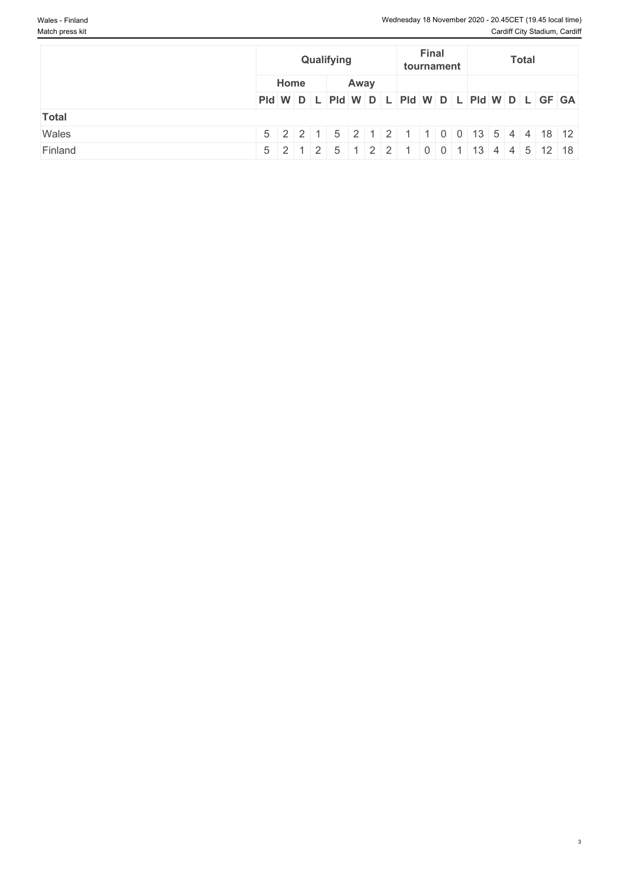|              |                                                                            | Qualifying   |  |  |  | Final<br>tournament |  | <b>Total</b> |  |  |
|--------------|----------------------------------------------------------------------------|--------------|--|--|--|---------------------|--|--------------|--|--|
|              |                                                                            | Home<br>Away |  |  |  |                     |  |              |  |  |
|              | PId W D L PId W D L PId W D L PId W D L GF GA                              |              |  |  |  |                     |  |              |  |  |
| <b>Total</b> |                                                                            |              |  |  |  |                     |  |              |  |  |
| Wales        | $5$   2   2   1   5   2   1   2   1   1   0   0   13   5   4   4   18   12 |              |  |  |  |                     |  |              |  |  |
| Finland      | $5$   2   1   2   5   1   2   2   1   0   0   1   13   4   4   5   12   18 |              |  |  |  |                     |  |              |  |  |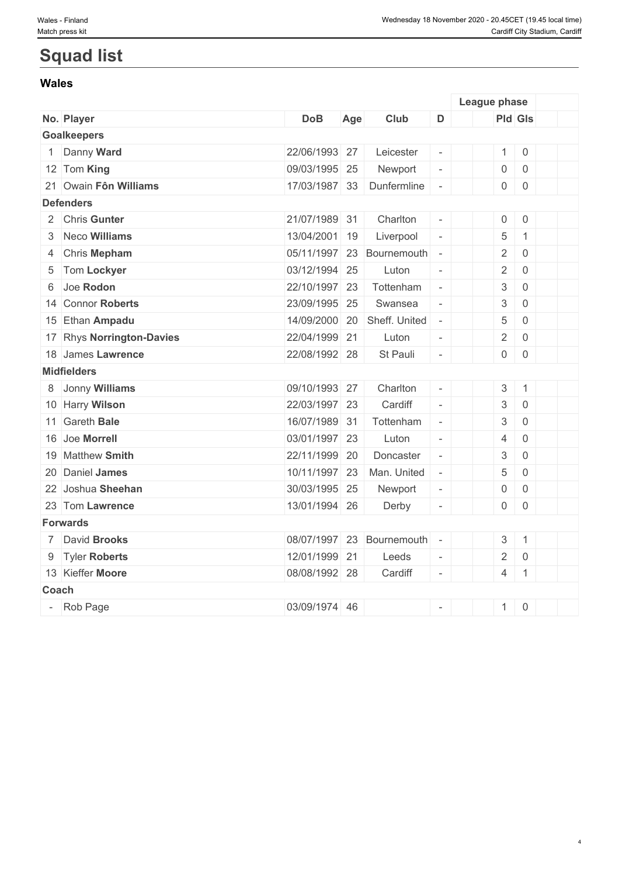# **Squad list**

#### **Wales**

|       |                           |               |     |                           |                          | League phase              |                |  |
|-------|---------------------------|---------------|-----|---------------------------|--------------------------|---------------------------|----------------|--|
|       | No. Player                | <b>DoB</b>    | Age | Club                      | D                        |                           | <b>Pld Gls</b> |  |
|       | <b>Goalkeepers</b>        |               |     |                           |                          |                           |                |  |
|       | Danny Ward                | 22/06/1993 27 |     | Leicester                 | $\overline{\phantom{a}}$ | 1                         | $\overline{0}$ |  |
|       | 12 Tom King               | 09/03/1995 25 |     | Newport                   | $\overline{\phantom{a}}$ | $\overline{0}$            | $\overline{0}$ |  |
|       | 21 Owain Fôn Williams     | 17/03/1987 33 |     | Dunfermline               | $\overline{\phantom{a}}$ | $\overline{0}$            | $\overline{0}$ |  |
|       | <b>Defenders</b>          |               |     |                           |                          |                           |                |  |
|       | 2 Chris Gunter            | 21/07/1989 31 |     | Charlton                  | $\overline{\phantom{a}}$ | $\mathsf{O}\xspace$       | $\overline{0}$ |  |
|       | 3 Neco Williams           | 13/04/2001 19 |     | Liverpool                 | $\Box$                   | $\,$ 5 $\,$               | $\mathbf{1}$   |  |
|       | 4 Chris Mepham            |               |     | 05/11/1997 23 Bournemouth | $\overline{\phantom{a}}$ | $\sqrt{2}$                | $\mathsf{O}$   |  |
|       | 5 Tom Lockyer             | 03/12/1994 25 |     | Luton                     | $\Box$                   | $\overline{2}$            | $\mathsf{O}$   |  |
|       | 6 Joe Rodon               | 22/10/1997 23 |     | Tottenham                 | $\overline{\phantom{a}}$ | $\ensuremath{\mathsf{3}}$ | $\overline{0}$ |  |
|       | 14 Connor Roberts         | 23/09/1995 25 |     | Swansea                   | $\bar{\phantom{a}}$      | $\sqrt{3}$                | $\overline{0}$ |  |
|       | 15 Ethan Ampadu           | 14/09/2000 20 |     | Sheff. United             | $\overline{\phantom{a}}$ | $\,$ 5 $\,$               | $\mathsf{O}$   |  |
|       | 17 Rhys Norrington-Davies | 22/04/1999 21 |     | Luton                     | $\overline{\phantom{a}}$ | $\overline{2}$            | $\mathsf{O}$   |  |
|       | 18 James Lawrence         | 22/08/1992 28 |     | St Pauli                  | $\Box$                   | $\overline{0}$            | $\overline{0}$ |  |
|       | <b>Midfielders</b>        |               |     |                           |                          |                           |                |  |
|       | 8 Jonny Williams          | 09/10/1993 27 |     | Charlton                  | $\omega$                 | $\sqrt{3}$                | $\mathbf{1}$   |  |
|       | 10 Harry Wilson           | 22/03/1997 23 |     | Cardiff                   | $\overline{\phantom{a}}$ | $\ensuremath{\mathsf{3}}$ | $\mathbf 0$    |  |
|       | 11 Gareth Bale            | 16/07/1989 31 |     | Tottenham                 | $\mathcal{L}$            | $\sqrt{3}$                | $\overline{0}$ |  |
|       | 16 Joe Morrell            | 03/01/1997 23 |     | Luton                     | $\overline{\phantom{a}}$ | $\overline{4}$            | $\overline{0}$ |  |
|       | 19 Matthew Smith          | 22/11/1999 20 |     | Doncaster                 | $\Box$                   | $\sqrt{3}$                | $\mathsf{O}$   |  |
|       | 20 Daniel James           | 10/11/1997 23 |     | Man. United               | $\overline{\phantom{a}}$ | $\,$ 5 $\,$               | $\mathsf{O}$   |  |
|       | 22 Joshua Sheehan         | 30/03/1995 25 |     | Newport                   | $\overline{\phantom{a}}$ | $\mathsf 0$               | $\overline{0}$ |  |
|       | 23 Tom Lawrence           | 13/01/1994 26 |     | Derby                     | $\overline{\phantom{a}}$ | $\overline{0}$            | $\overline{0}$ |  |
|       | <b>Forwards</b>           |               |     |                           |                          |                           |                |  |
|       | 7 David Brooks            |               |     | 08/07/1997 23 Bournemouth | $\overline{\phantom{a}}$ | $\mathfrak{S}$            | $\mathbf{1}$   |  |
|       | 9 Tyler Roberts           | 12/01/1999 21 |     | Leeds                     | $\overline{\phantom{a}}$ | $\overline{2}$            | $\mathbf 0$    |  |
|       | 13 Kieffer Moore          | 08/08/1992 28 |     | Cardiff                   | $\omega$                 | $\overline{4}$            | $\overline{1}$ |  |
| Coach |                           |               |     |                           |                          |                           |                |  |
|       | Rob Page                  | 03/09/1974 46 |     |                           | $\bar{\phantom{a}}$      | 1                         | $\overline{0}$ |  |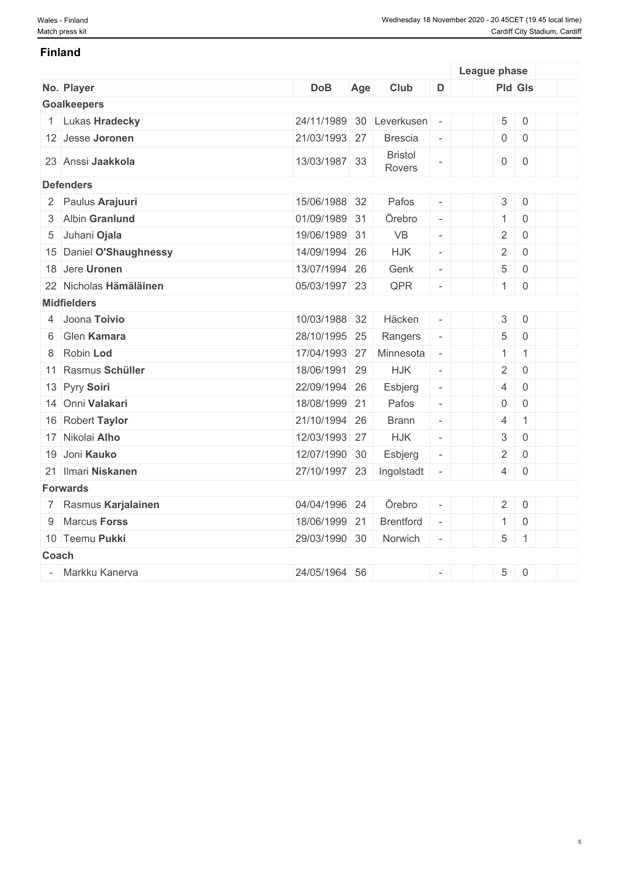#### **Finland**

|              |                         |               |     |                          |                          | League phase              |                     |  |
|--------------|-------------------------|---------------|-----|--------------------------|--------------------------|---------------------------|---------------------|--|
|              | No. Player              | <b>DoB</b>    | Age | Club                     | D                        | <b>Pld Gls</b>            |                     |  |
|              | <b>Goalkeepers</b>      |               |     |                          |                          |                           |                     |  |
|              | 1 Lukas Hradecky        | 24/11/1989 30 |     | Leverkusen               | $\overline{\phantom{a}}$ | 5                         | $\mathbf 0$         |  |
|              | 12 Jesse Joronen        | 21/03/1993 27 |     | <b>Brescia</b>           | $\overline{\phantom{a}}$ | $\overline{0}$            | $\overline{0}$      |  |
|              | 23 Anssi Jaakkola       | 13/03/1987 33 |     | <b>Bristol</b><br>Rovers |                          | $\mathsf{O}\xspace$       | $\mathbf 0$         |  |
|              | <b>Defenders</b>        |               |     |                          |                          |                           |                     |  |
|              | 2 Paulus Arajuuri       | 15/06/1988 32 |     | Pafos                    | $\overline{\phantom{a}}$ | $\mathsf 3$               | $\mathbf 0$         |  |
|              | 3 Albin Granlund        | 01/09/1989 31 |     | Örebro                   | $\omega$                 | $\mathbf{1}$              | $\mathbf 0$         |  |
| 5            | Juhani Ojala            | 19/06/1989 31 |     | <b>VB</b>                | $\overline{\phantom{a}}$ | $\overline{2}$            | $\mathbf 0$         |  |
|              | 15 Daniel O'Shaughnessy | 14/09/1994 26 |     | <b>HJK</b>               | $\overline{\phantom{a}}$ | $\overline{2}$            | $\overline{0}$      |  |
|              | 18 Jere Uronen          | 13/07/1994 26 |     | Genk                     | $\overline{\phantom{a}}$ | 5                         | $\mathbf 0$         |  |
|              | 22 Nicholas Hämäläinen  | 05/03/1997 23 |     | QPR                      | $\overline{\phantom{a}}$ | 1                         | $\overline{0}$      |  |
|              | <b>Midfielders</b>      |               |     |                          |                          |                           |                     |  |
|              | 4 Joona Toivio          | 10/03/1988 32 |     | Häcken                   |                          | $\mathfrak 3$             | $\mathbf 0$         |  |
| 6            | Glen Kamara             | 28/10/1995 25 |     | Rangers                  | $\overline{\phantom{a}}$ | 5                         | $\mathbf 0$         |  |
| 8            | Robin Lod               | 17/04/1993 27 |     | Minnesota                | $\overline{\phantom{a}}$ | $\mathbf{1}$              | $\mathbf{1}$        |  |
|              | 11 Rasmus Schüller      | 18/06/1991 29 |     | <b>HJK</b>               | $\overline{\phantom{a}}$ | $\overline{2}$            | $\mathbf 0$         |  |
|              | 13 Pyry Soiri           | 22/09/1994 26 |     | Esbjerg                  | $\overline{\phantom{a}}$ | $\overline{4}$            | $\overline{0}$      |  |
|              | 14 Onni Valakari        | 18/08/1999 21 |     | Pafos                    | $\overline{\phantom{a}}$ | $\mathbf 0$               | $\overline{0}$      |  |
|              | 16 Robert Taylor        | 21/10/1994 26 |     | <b>Brann</b>             | $\overline{\phantom{a}}$ | $\overline{4}$            | $\mathbf{1}$        |  |
|              | 17 Nikolai Alho         | 12/03/1993 27 |     | <b>HJK</b>               | $\overline{\phantom{a}}$ | $\ensuremath{\mathsf{3}}$ | $\mathbf 0$         |  |
|              | 19 Joni Kauko           | 12/07/1990 30 |     | Esbjerg                  | $\overline{\phantom{a}}$ | $\overline{2}$            | $\overline{0}$      |  |
|              | 21 Ilmari Niskanen      | 27/10/1997 23 |     | Ingolstadt               |                          | $\overline{4}$            | $\mathsf{O}\xspace$ |  |
|              | <b>Forwards</b>         |               |     |                          |                          |                           |                     |  |
|              | 7 Rasmus Karjalainen    | 04/04/1996 24 |     | Örebro                   |                          | $\overline{2}$            | $\,0\,$             |  |
|              | 9 Marcus Forss          | 18/06/1999 21 |     | <b>Brentford</b>         | $\equiv$                 | $\mathbf{1}$              | $\,0\,$             |  |
|              | 10 Teemu Pukki          | 29/03/1990 30 |     | Norwich                  | $\sim$                   | 5                         | $\mathbf{1}$        |  |
| <b>Coach</b> |                         |               |     |                          |                          |                           |                     |  |
|              | Markku Kanerva          | 24/05/1964 56 |     |                          |                          | $\overline{5}$            | $\,0\,$             |  |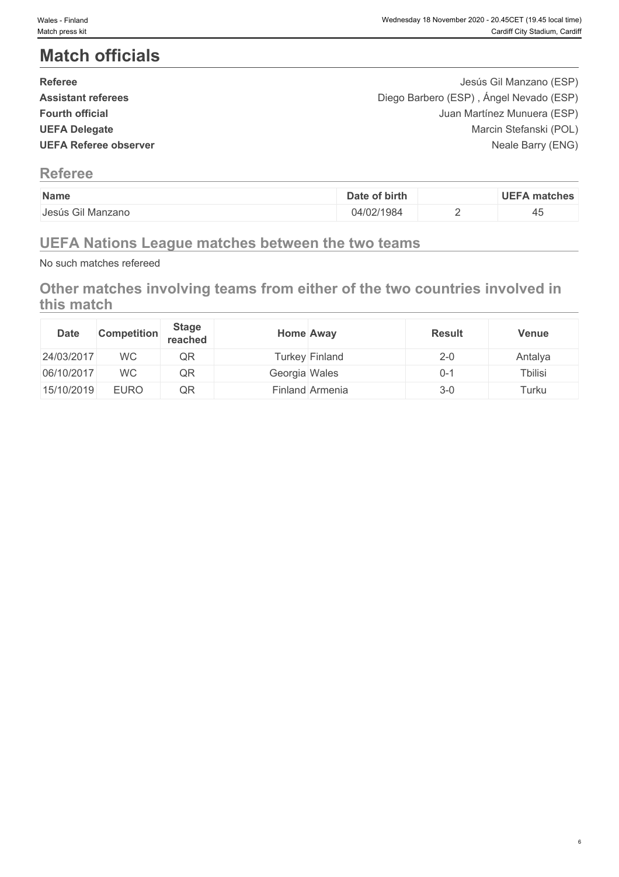# **Match officials**

| <b>Referee</b>               | Jesús Gil Manzano (ESP)                 |  |
|------------------------------|-----------------------------------------|--|
| <b>Assistant referees</b>    | Diego Barbero (ESP), Ángel Nevado (ESP) |  |
| <b>Fourth official</b>       | Juan Martínez Munuera (ESP)             |  |
| <b>UEFA Delegate</b>         | Marcin Stefanski (POL)                  |  |
| <b>UEFA Referee observer</b> | Neale Barry (ENG)                       |  |
|                              |                                         |  |

## **Referee**

| Name              | of birth<br>Date | <b>UEFA</b><br>∖ matches |
|-------------------|------------------|--------------------------|
| Jesús Gil Manzano | )4/02/1984       | ⇁◡                       |
|                   |                  |                          |

# **UEFA Nations League matches between the two teams**

No such matches refereed

# **Other matches involving teams from either of the two countries involved in this match**

| <b>Date</b> | <b>Competition</b> | <b>Stage</b><br>reached | <b>Home Away</b> |                 | <b>Result</b> | <b>Venue</b>    |
|-------------|--------------------|-------------------------|------------------|-----------------|---------------|-----------------|
| 24/03/2017  | <b>WC</b>          | QR                      |                  | Turkey Finland  | $2 - 0$       | Antalya         |
| 06/10/2017  | <b>WC</b>          | QR                      | Georgia Wales    |                 | $0 - 1$       | <b>T</b> bilisi |
| 15/10/2019  | <b>EURO</b>        | QR                      |                  | Finland Armenia | $3-0$         | $T$ urku        |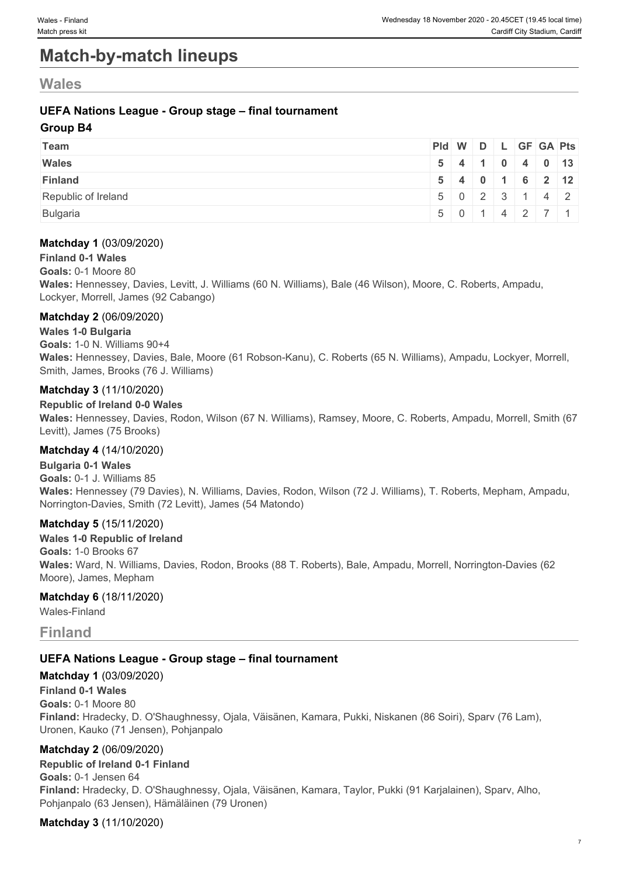# **Match-by-match lineups**

## **Wales**

### **UEFA Nations League - Group stage – final tournament**

#### **Group B4**

| Team                | Pid W D L GF GA Pts                                 |  |  |  |
|---------------------|-----------------------------------------------------|--|--|--|
| <b>Wales</b>        | $5 \mid 4 \mid 1 \mid 0 \mid 4 \mid 0 \mid 13 \mid$ |  |  |  |
| <b>Finland</b>      | $5$ 4 0 1 6 2 12                                    |  |  |  |
| Republic of Ireland | $5 \mid 0 \mid 2 \mid 3 \mid 1 \mid 4 \mid 2 \mid$  |  |  |  |
| Bulgaria            | 501142711                                           |  |  |  |

#### **Matchday 1** (03/09/2020)

#### **Finland 0-1 Wales**

**Goals:** 0-1 Moore 80

**Wales:** Hennessey, Davies, Levitt, J. Williams (60 N. Williams), Bale (46 Wilson), Moore, C. Roberts, Ampadu, Lockyer, Morrell, James (92 Cabango)

#### **Matchday 2** (06/09/2020)

#### **Wales 1-0 Bulgaria**

**Goals:** 1-0 N. Williams 90+4

**Wales:** Hennessey, Davies, Bale, Moore (61 Robson-Kanu), C. Roberts (65 N. Williams), Ampadu, Lockyer, Morrell, Smith, James, Brooks (76 J. Williams)

#### **Matchday 3** (11/10/2020)

#### **Republic of Ireland 0-0 Wales**

**Wales:** Hennessey, Davies, Rodon, Wilson (67 N. Williams), Ramsey, Moore, C. Roberts, Ampadu, Morrell, Smith (67 Levitt), James (75 Brooks)

#### **Matchday 4** (14/10/2020)

**Bulgaria 0-1 Wales Goals:** 0-1 J. Williams 85 **Wales:** Hennessey (79 Davies), N. Williams, Davies, Rodon, Wilson (72 J. Williams), T. Roberts, Mepham, Ampadu, Norrington-Davies, Smith (72 Levitt), James (54 Matondo)

#### **Matchday 5** (15/11/2020)

**Wales 1-0 Republic of Ireland Goals:** 1-0 Brooks 67 **Wales:** Ward, N. Williams, Davies, Rodon, Brooks (88 T. Roberts), Bale, Ampadu, Morrell, Norrington-Davies (62 Moore), James, Mepham

#### **Matchday 6** (18/11/2020)

Wales-Finland

### **Finland**

#### **UEFA Nations League - Group stage – final tournament**

#### **Matchday 1** (03/09/2020)

**Finland 0-1 Wales**

**Goals:** 0-1 Moore 80

**Finland:** Hradecky, D. O'Shaughnessy, Ojala, Väisänen, Kamara, Pukki, Niskanen (86 Soiri), Sparv (76 Lam), Uronen, Kauko (71 Jensen), Pohjanpalo

#### **Matchday 2** (06/09/2020)

**Republic of Ireland 0-1 Finland Goals:** 0-1 Jensen 64 **Finland:** Hradecky, D. O'Shaughnessy, Ojala, Väisänen, Kamara, Taylor, Pukki (91 Karjalainen), Sparv, Alho, Pohjanpalo (63 Jensen), Hämäläinen (79 Uronen)

#### **Matchday 3** (11/10/2020)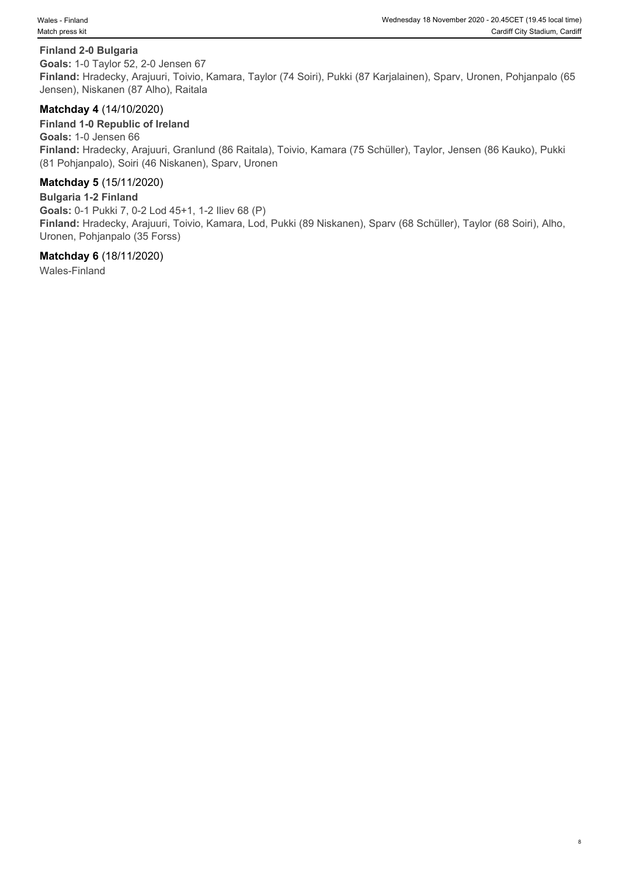#### **Finland 2-0 Bulgaria**

**Goals:** 1-0 Taylor 52, 2-0 Jensen 67 **Finland:** Hradecky, Arajuuri, Toivio, Kamara, Taylor (74 Soiri), Pukki (87 Karjalainen), Sparv, Uronen, Pohjanpalo (65 Jensen), Niskanen (87 Alho), Raitala

#### **Matchday 4** (14/10/2020)

**Finland 1-0 Republic of Ireland Goals:** 1-0 Jensen 66 **Finland:** Hradecky, Arajuuri, Granlund (86 Raitala), Toivio, Kamara (75 Schüller), Taylor, Jensen (86 Kauko), Pukki (81 Pohjanpalo), Soiri (46 Niskanen), Sparv, Uronen

#### **Matchday 5** (15/11/2020)

**Bulgaria 1-2 Finland Goals:** 0-1 Pukki 7, 0-2 Lod 45+1, 1-2 Iliev 68 (P) **Finland:** Hradecky, Arajuuri, Toivio, Kamara, Lod, Pukki (89 Niskanen), Sparv (68 Schüller), Taylor (68 Soiri), Alho, Uronen, Pohjanpalo (35 Forss)

#### **Matchday 6** (18/11/2020)

Wales-Finland